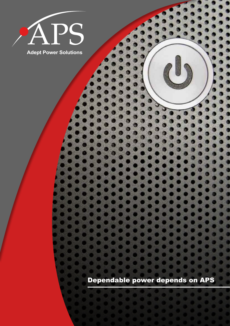

**Adept Power Solutions**

Dependable power depends on APS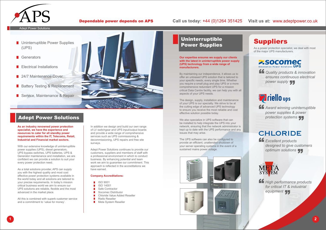# Uninterruptible Power Supplies

# Adept Power Solutions



#### Adept Power Solutions

- **Uninterruptible Power Supplies** (UPS)
- **B** Generators
- Electrical Installations
- 24/7 Maintenance Cover
- **Battery Testing & Replacement**
- **Service, Maintenance & Repair**



As a power protection specialist, we deal with most of the major UPS manufacturers.

**SOCOMEC** 

**ff** Quality products & innovation *ensures continuous electrical power supply* 

# **Priello** ups

**ff** Award winning uninterruptible *power supplies & power protection systems* 

# **CHLORIDE**

**ff** Excellent products *designed to give customers optimum solutions* 



**ff** High performance products *for critical IT & industrial*  **equipment** 

**1 2**

Dependable power depends on APS

**As an industry renowned power protection specialist, we have the experience and resources to cater for all standby power requirements within the IT, Telecoms, Retail, Industrial and Financial market sectors.**

With our extensive knowledge of uninterruptible power supplies (UPS), diesel generators, UPS bypass switches, UPS batteries, UPS & Generator maintenance and installation, we are confident we can provide a solution to suit your every power protection need.

- **ISO 9001**
- ISO 14001
- Safe Contractor
- Socomec Distributor
- Chloride Value Added Reseller
- Riello Reseller
- Meta System Reseller

## Call us today: +44 (0)1264 351425 Visit us at: www.adeptpower.co.uk

As a total solutions provider, APS can supply you with the highest quality and most cost effective power protection systems available in the world today and all solutions are tailored to your precise requirements. In today's mission critical business world we aim to ensure our UPS solutions are reliable, flexible and the most advanced in the market place.

All this is combined with superb customer service and a commitment to 'value for money'.

In addition we design and build our own range of LV switchgear and UPS input/output boards and provide a wide range of comprehensive services such as UPS commissioning & decommissioning, UPS repairs and free site surveys.

Adept Power Solutions continues to provide our customers, suppliers and members of staff with a professional environment in which to conduct business. By enhancing potential and team work we aim to guarantee our commitment. This approach is reflected in the accreditations we have earned.

#### **Company Accreditations:**

#### **Our expertise ensures we supply our clients with the latest in uninterruptible power supply (UPS) technology from a wide range of manufacturers.**

By maintaining our independence, it allows us to offer an unbiased UPS solution that is tailored to your specific needs, every single time. Whether you require a small plug and play UPS or a more comprehensive redundant UPS for a mission critical Data Centre facility, we can help you with all aspects of your UPS needs.

The design, supply, installation and maintenance of your UPS is our specialty. We strive to be at the cutting edge of advanced UPS technology to ensure you receive the most reliable and cost effective solution possible today.

We also specialize in UPS software that can be installed to help integrate the UPS into your network, ensuring that the network administrator is kept up to date with the UPS performance and any issues that may arise.

The UPS software can also be configured to provide an efficient, unattended shutdown of your server operating systems in the event of a sustained mains power outage.







# **Suppliers**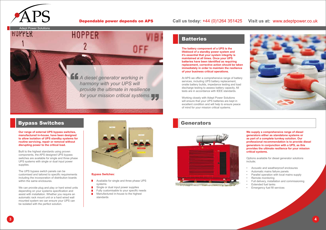







### Dependable power depends on APS

# Call us today: +44 (0)1264 351425 Visit us at: www.adeptpower.co.uk

**The battery component of a UPS is the lifeblood of a standby power system and it's essential that your system integrity is maintained at all times. Once your UPS batteries have been identified as requiring replacement, corrective action should be taken immediately in order to maintain the resilience of your business critical operations.**

- Acoustic and weatherproof enclosures
- Automatic mains failure panels
- Parallel operation with local mains supply
- Remote monitoring
- Full delivery, installation and commissioning
- Extended fuel tanks
- **Emergency fuel fill services**

At APS we offer a comprehensive range of battery services, including UPS battery replacement, onsite battery builds, impedance testing and load discharge testing to assess battery capacity. All tests are in accordance with IEEE standards.

Working closely with Adept Power Solutions will ensure that your UPS batteries are kept in excellent condition and will help to ensure peace of mind for your mission critical systems.





**We supply a comprehensive range of diesel generators either as standalone systems or as part of a complete turnkey solution. Our professional recommendation is to provide diesel generators in conjunction with a UPS, as this provides the ultimate resilience for your mission critical systems.**

We can provide plug and play or hard wired units depending on your systems specification and assist with installation. Whether you require an automatic rack mount unit or a hard wired wall mounted system we can ensure your UPS can be isolated with the perfect solution.

- **Available for single and three phase UPS** systems
- **Single or dual input power supplies**
- $\blacksquare$  Fully customisable to your specific needs
- **Manufactured in-house to the highest** standards

# **Batteries**

Options available for diesel generator solutions include;

**Our range of external UPS bypass switches, manufactured in-house, have been designed to allow isolation of UPS standby systems for routine servicing, repair or removal without disrupting power to the critical load.**

Built to the highest standards using proven components, the APS designed UPS bypass switches are available for single and three phase UPS systems with single or dual input power supplies.

The UPS bypass switch panels can be customised and tailored to specific requirements including the incorporation of distribution boards within the same enclosures.

#### **Bypass Switches:**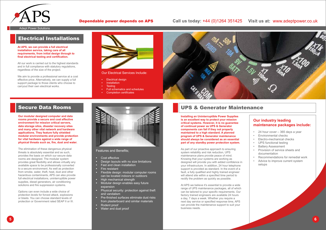# UPS & Generator Maintenance

# Electrical Installations



Our Electrical Services Include:

- **Electrical design**
- **Installation**
- **Testing**
- **Full schematics and schedules**
- **Completion certificates**



- • Cost effective
- **Design layouts with no size limitations**
- Fast and clean installation
- Fire resistant
- Flexible design: modular computer rooms can be located indoors or outdoors
- • High mechanical strength
- Modular design enables easy future expansion
- • Physical security: protection against theft and vandalism
- • Pre-finished surfaces eliminate dust risks from plasterboard and similar materials
- Rodent proof
- Water and dust proof

### Features and Benefits;

# Secure Data Rooms



Adept Power Solutions

### Dependable power depends on APS

## Call us today: +44 (0)1264 351425 Visit us at: www.adeptpower.co.uk

**Installing an Uninterruptible Power Supplies is an excellent way to protect your mission critical systems. However, it is no guarantee of continual power as UPS & Generator components can fail if they not properly maintained to a high standard. A planned program of UPS & Generator maintenance should always be considered as an essential part of any standby power protection system.**

As part of our proactive approach to ensuring system reliability and risk reduction, UPS maintenance plans provide peace of mind. Knowing that your systems are working as designed will provide you with added confidence in your infrastructure. In addition, 24 hour telephone support is provided as standard. In the event of a fault, a fully qualified and highly trained engineer will attend site within a specified time period to rectify the problem as quickly as possible.

At APS we believe it's essential to provide a wide range of UPS maintenance packages, all of which can be tailored to your specific requirements. Our factory trained engineers are available 24 hours a day, 7 days a week. Whether you require a next day service or specified response time, APS can provide the maintenance support to suit your business needs.

### **Our industry leading maintenance packages include:**

- 24 hour cover 365 days a year
- Environmental checks
- Electro-mechanical checks
- UPS functional testing
- Battery Assessment
- Provision of service sheets and documentation
- Recommendations for remedial work
- Advice to improve current system setups

#### **At APS, we can provide a full electrical installation service, taking care of all requirements, from initial design through to final electrical testing and certification.**

All our work is carried out to the highest standards and in full compliance with statutory regulations, regardless of the size of the project.

We aim to provide a professional service at a cost effective price. Alternatively, we can supply a full support package to those clients who choose to carryout their own electrical works.

**Our modular designed computer and data rooms provide a secure and cost effective environment for mission critical servers, data storage silos, disaster recovery sites and many other vital network and hardware applications. They feature fully shielded modular environments and provide protection for vital hardware against a wide range of physical threats such as, fire, dust and water.**

The elimination of these dangerous physical threats is absolutely essential and as such, provides the basis on which our secure data rooms are designed. The modular system provides great flexibility and allows virtually any available space to be professionally converted to a secure environment. As well as protection from smoke, water, theft, heat, dust and other hazardous contaminants, APS can also provide full electrical installations, uninterruptible power supplies, diesel generators, air conditioning solutions and fire suppression systems.

Options can even include a wide choice of protection levels for forced attack, explosions or blasts. You can choose standard levels of protection or Government rated SEAP II or III.